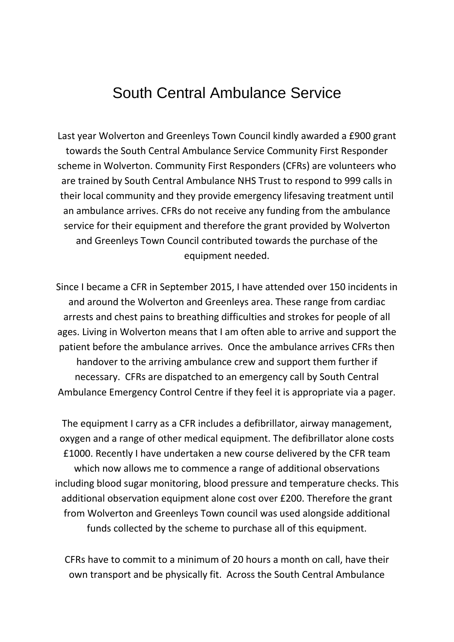## South Central Ambulance Service

Last year Wolverton and Greenleys Town Council kindly awarded a £900 grant towards the South Central Ambulance Service Community First Responder scheme in Wolverton. Community First Responders (CFRs) are volunteers who are trained by South Central Ambulance NHS Trust to respond to 999 calls in their local community and they provide emergency lifesaving treatment until an ambulance arrives. CFRs do not receive any funding from the ambulance service for their equipment and therefore the grant provided by Wolverton and Greenleys Town Council contributed towards the purchase of the equipment needed.

Since I became a CFR in September 2015, I have attended over 150 incidents in and around the Wolverton and Greenleys area. These range from cardiac arrests and chest pains to breathing difficulties and strokes for people of all ages. Living in Wolverton means that I am often able to arrive and support the patient before the ambulance arrives. Once the ambulance arrives CFRs then handover to the arriving ambulance crew and support them further if necessary. CFRs are dispatched to an emergency call by South Central Ambulance Emergency Control Centre if they feel it is appropriate via a pager.

The equipment I carry as a CFR includes a defibrillator, airway management, oxygen and a range of other medical equipment. The defibrillator alone costs £1000. Recently I have undertaken a new course delivered by the CFR team which now allows me to commence a range of additional observations including blood sugar monitoring, blood pressure and temperature checks. This additional observation equipment alone cost over £200. Therefore the grant from Wolverton and Greenleys Town council was used alongside additional funds collected by the scheme to purchase all of this equipment.

CFRs have to commit to a minimum of 20 hours a month on call, have their own transport and be physically fit. Across the South Central Ambulance